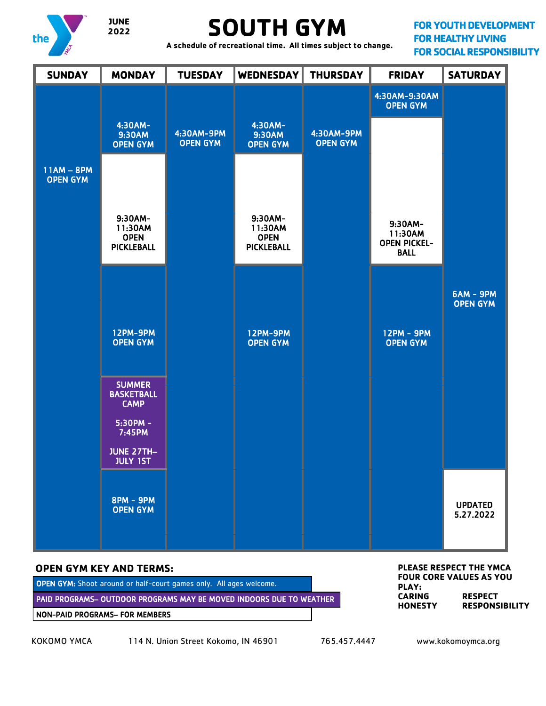

# **SOUTH GYM**

**FOR YOUTH DEVELOPMENT FOR HEALTHY LIVING FOR SOCIAL RESPONSIBILITY** 

 **A schedule of recreational time. All times subject to change.**



NON-PAID PROGRAMS– FOR MEMBERS

KOKOMO YMCA 114 N. Union Street Kokomo, IN 46901 765.457.4447 www.kokomoymca.org